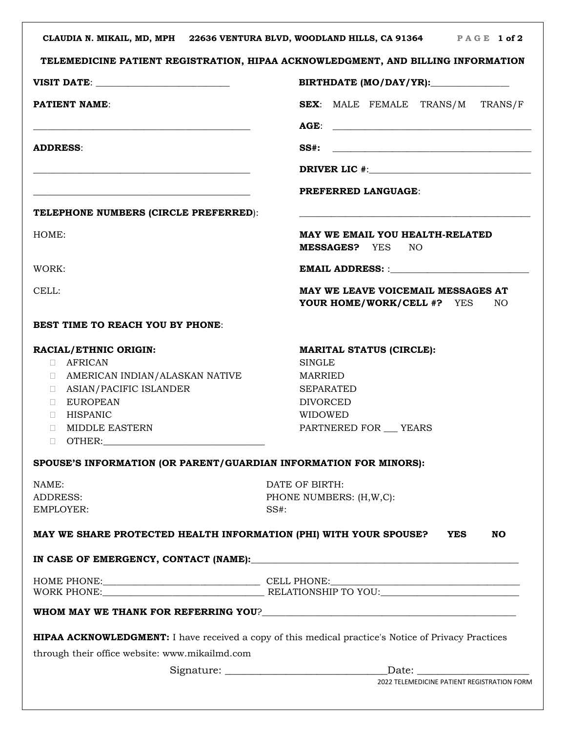|                                                                                                                                                                                                                                                                                                                                                                                                                                             | CLAUDIA N. MIKAIL, MD, MPH 22636 VENTURA BLVD, WOODLAND HILLS, CA 91364 PAGE 1 of 2                                                            |
|---------------------------------------------------------------------------------------------------------------------------------------------------------------------------------------------------------------------------------------------------------------------------------------------------------------------------------------------------------------------------------------------------------------------------------------------|------------------------------------------------------------------------------------------------------------------------------------------------|
|                                                                                                                                                                                                                                                                                                                                                                                                                                             | TELEMEDICINE PATIENT REGISTRATION, HIPAA ACKNOWLEDGMENT, AND BILLING INFORMATION                                                               |
| VISIT DATE: NATE: NATE: NATE: NATE: NATE: NATE: NATE: NATE: NATE: NATE: NATE: NATE: NATE: NATE: NATE: NATE: NATE: NATE: NATE: NATE: NATE: NATE: NATE: NATE: NATE: NATE: NATE: NATE: NATE: NATE: NATE: NATE: NATE: NATE: NATE:                                                                                                                                                                                                               | BIRTHDATE (MO/DAY/YR):                                                                                                                         |
| <b>PATIENT NAME:</b>                                                                                                                                                                                                                                                                                                                                                                                                                        | SEX: MALE FEMALE TRANS/M TRANS/F                                                                                                               |
|                                                                                                                                                                                                                                                                                                                                                                                                                                             |                                                                                                                                                |
| <b>ADDRESS:</b>                                                                                                                                                                                                                                                                                                                                                                                                                             | SS#:                                                                                                                                           |
|                                                                                                                                                                                                                                                                                                                                                                                                                                             |                                                                                                                                                |
|                                                                                                                                                                                                                                                                                                                                                                                                                                             | <b>PREFERRED LANGUAGE:</b>                                                                                                                     |
| TELEPHONE NUMBERS (CIRCLE PREFERRED):                                                                                                                                                                                                                                                                                                                                                                                                       |                                                                                                                                                |
| HOME:                                                                                                                                                                                                                                                                                                                                                                                                                                       | MAY WE EMAIL YOU HEALTH-RELATED<br><b>MESSAGES?</b> YES NO                                                                                     |
| WORK:                                                                                                                                                                                                                                                                                                                                                                                                                                       | <b>EMAIL ADDRESS: :</b>                                                                                                                        |
| CELL:                                                                                                                                                                                                                                                                                                                                                                                                                                       | MAY WE LEAVE VOICEMAIL MESSAGES AT<br><b>YOUR HOME/WORK/CELL #?</b> YES<br>NO.                                                                 |
| <b>BEST TIME TO REACH YOU BY PHONE:</b>                                                                                                                                                                                                                                                                                                                                                                                                     |                                                                                                                                                |
| <b>RACIAL/ETHNIC ORIGIN:</b><br><b>D</b> AFRICAN<br><b>INDIAN/ALASKAN NATIVE</b><br>ASIAN/PACIFIC ISLANDER<br>$\Box$<br><b>EUROPEAN</b><br>$\Box$<br><b>HISPANIC</b><br>П.<br><b>MIDDLE EASTERN</b><br>П.<br>OTHER: The contract of the contract of the contract of the contract of the contract of the contract of the contract of the contract of the contract of the contract of the contract of the contract of the contract of the con | <b>MARITAL STATUS (CIRCLE):</b><br><b>SINGLE</b><br><b>MARRIED</b><br><b>SEPARATED</b><br><b>DIVORCED</b><br>WIDOWED<br>PARTNERED FOR __ YEARS |
| SPOUSE'S INFORMATION (OR PARENT/GUARDIAN INFORMATION FOR MINORS):                                                                                                                                                                                                                                                                                                                                                                           |                                                                                                                                                |
| NAME:<br><b>ADDRESS:</b><br><b>EMPLOYER:</b>                                                                                                                                                                                                                                                                                                                                                                                                | DATE OF BIRTH:<br>PHONE NUMBERS: (H, W, C):<br>SS#:                                                                                            |
| MAY WE SHARE PROTECTED HEALTH INFORMATION (PHI) WITH YOUR SPOUSE?                                                                                                                                                                                                                                                                                                                                                                           | <b>YES</b><br><b>NO</b>                                                                                                                        |
|                                                                                                                                                                                                                                                                                                                                                                                                                                             | IN CASE OF EMERGENCY, CONTACT (NAME): THE CONSENSE OF EMERGENCY OF THE CONTACT (NAME):                                                         |
|                                                                                                                                                                                                                                                                                                                                                                                                                                             |                                                                                                                                                |
|                                                                                                                                                                                                                                                                                                                                                                                                                                             |                                                                                                                                                |
|                                                                                                                                                                                                                                                                                                                                                                                                                                             | <b>HIPAA ACKNOWLEDGMENT:</b> I have received a copy of this medical practice's Notice of Privacy Practices                                     |
| through their office website: www.mikailmd.com                                                                                                                                                                                                                                                                                                                                                                                              |                                                                                                                                                |
|                                                                                                                                                                                                                                                                                                                                                                                                                                             |                                                                                                                                                |